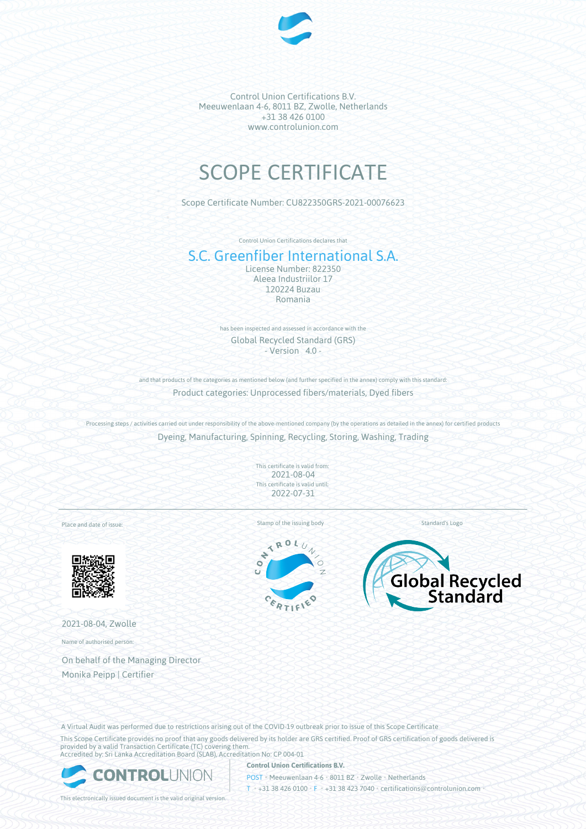

Control Union Certifications B.V. Meeuwenlaan 4-6, 8011 BZ, Zwolle, Netherlands +31 38 426 0100 www.controlunion.com

# SCOPE CERTIFICATE

Scope Certificate Number: CU822350GRS-2021-00076623

Control Union Certifications declares that

## S.C. Greenfiber International S.A.

License Number: 822350 Aleea Industriilor 17 120224 Buzau Romania

has been inspected and assessed in accordance with the Global Recycled Standard (GRS)  $-$  Version  $4.0 -$ 

and that products of the categories as mentioned below (and further specified in the annex) comply with this standard: Product categories: Unprocessed fibers/materials, Dyed fibers

Processing steps / activities carried out under responsibility of the above-mentioned company (by the operations as detailed in the annex) for certified products Dyeing, Manufacturing, Spinning, Recycling, Storing, Washing, Trading

> This certificate is valid from: 2021-08-04 This certificate is valid until: 2022-07-31

Place and date of issue:



2021-08-04, Zwolle

Name of authorised person:

On behalf of the Managing Director Monika Peipp | Certifier

Stamp of the issuing body Standard's Logo

ROL  $\overline{\mathbf{X}}$  $\ddot{\phantom{0}}$  $\bullet$ Ŧ.





A Virtual Audit was performed due to restrictions arising out of the COVID-19 outbreak prior to issue of this Scope Certificate This Scope Certificate provides no proof that any goods delivered by its holder are GRS certified. Proof of GRS certification of goods delivered is

provided by a valid Transaction Certificate (TC) covering them. Accredited by: Sri Lanka Accreditation Board (SLAB), Accreditation No: CP 004-01



**Control Union Certifications B.V.**

POST • Meeuwenlaan 4-6 • 8011 BZ • Zwolle • Netherlands T • +31 38 426 0100 • F • +31 38 423 7040 • certifications@controlunion.com •

This electronically issued document is the valid original version.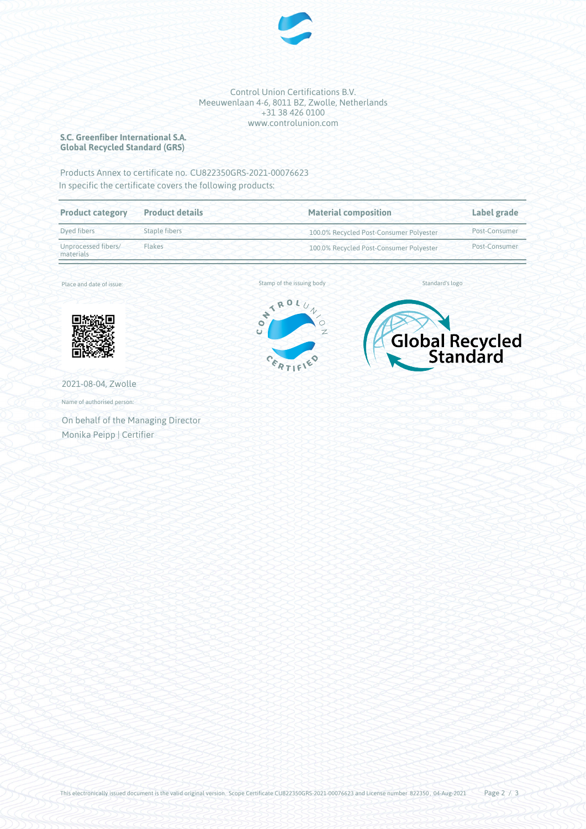

#### Control Union Certifications B.V. Meeuwenlaan 4-6, 8011 BZ, Zwolle, Netherlands +31 38 426 0100 www.controlunion.com

### **S.C. Greenfiber International S.A. Global Recycled Standard (GRS)**

Products Annex to certificate no. CU822350GRS-2021-00076623 In specific the certificate covers the following products:

| <b>Product category</b>          | <b>Product details</b> | <b>Material composition</b>             | Label grade   |
|----------------------------------|------------------------|-----------------------------------------|---------------|
| Dyed fibers                      | Staple fibers          | 100.0% Recycled Post-Consumer Polyester | Post-Consumer |
| Unprocessed fibers/<br>materials | Flakes                 | 100.0% Recycled Post-Consumer Polyester |               |

Place and date of issue:



2021-08-04, Zwolle

Name of authorised person:

On behalf of the Managing Director Monika Peipp | Certifier